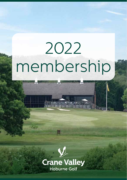# 2022 membership



Hoburne Golf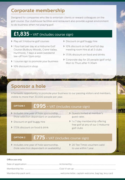## **Corporate membership**

Designed for companies who like to entertain clients or reward colleagues on the golf course. Our clubhouse facilities and restaurant also provide a great environment to do business when not playing golf.

## **£1,835** + VAT (includes course sign)

- > Play all 3 Hoburne golf courses
- > 1 four ball per day at a Hoburne Golf Course (Bulbury Woods, Crane Valley, Hurtmore), 7 days a week (weekend tee-off from 12pm only)
- > 1 course sign to promote your business
- > 10% discount in shop
- > Discount on golf buggy hire
- > 10% discount on half and full day meeting room hire at all 3 clubs
- 17.5% discount on food and drinks
- > Corporate day for 20 people (golf only). Mon to Thurs after 11.30am

## **Sponsor a hole**

A fantastic opportunity to promote your business to our passing visitors and members, visible to more than 30,000 people per year.

## **OPTION 1 £995** + VAT (includes course sign)

- > Includes one year of hole sponsorship, (hole selection dependant on availability)
- 
- > 17.5% discount on food & drink golf clubs
- > Guests invited at member's guest rates
- > Discount on golf buggy hire  $\longrightarrow 1 \times 7$  day membership offering free golf at any of our 3 Hoburne

## **OPTION 2 £775** + VAT (includes course sign)

- > Includes one year of hole sponsorship, (hole selection dependant on availability)
- > 20 Tee Times vouchers valid to use within 1 year

#### Office use only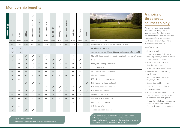## **Membership benefits**

| Membership ty | $d$ ay<br>$\sim$ | $d$ ay<br>LO. | 80 Plus      | 45)<br>$\mathbf{I}$<br>Intermediate Plus (36 | 35)<br>Intermediate (26 | 25)<br>$\mathbf{I}$<br>Colt Plus (22 | 21)<br>$\mathbf{I}$<br>Colt (18 | $-17$<br>Junior (13 | Junior (up to 12 years) | Flexi Plus   | Woodland     | Social       |                                                                 |  |  |  |
|---------------|------------------|---------------|--------------|----------------------------------------------|-------------------------|--------------------------------------|---------------------------------|---------------------|-------------------------|--------------|--------------|--------------|-----------------------------------------------------------------|--|--|--|
|               | £1095            | £995          | £775         | £815                                         | £665                    | £445                                 | £235                            | £75                 | £45                     | £255         | £299         | £30          | Mens and ladies fee                                             |  |  |  |
|               | £50              | £50           | £50          | £50                                          | £50                     | £25                                  | £25                             | N/A                 | N/A                     | £25          | £25          | N/A          | Joining Fee (applicable to new joining member)                  |  |  |  |
|               | £40              | £25           |              |                                              |                         |                                      |                                 |                     |                         |              |              |              | Membership card top up                                          |  |  |  |
|               | £40              | £25           |              |                                              |                         |                                      |                                 |                     |                         |              |              |              | Additional membership card top up for Partners & Seniors (65+)  |  |  |  |
|               | $\checkmark$     | $\checkmark$  | $\checkmark$ | $\checkmark$                                 | $\checkmark$            | $\checkmark$                         |                                 |                     |                         | $\ast$       |              |              | Play all 3 Hoburne golf courses (10 day tee booking preference) |  |  |  |
|               | $\checkmark$     | $\checkmark$  | $\checkmark$ | $\checkmark$                                 | $\checkmark$            | ✓                                    | $\checkmark$                    | ✓                   | $\checkmark$            | $\ast$       | $\checkmark$ |              | No green fees                                                   |  |  |  |
|               | $\checkmark$     | $\checkmark$  | $\checkmark$ | $\checkmark$                                 | $\checkmark$            | ✓                                    | $\checkmark$                    | $\checkmark$        | $\checkmark$            | $\checkmark$ | $\checkmark$ |              | 14 day tee booking preference                                   |  |  |  |
|               | $\checkmark$     | $\checkmark$  | $\checkmark$ | $\checkmark$                                 | $\checkmark$            | ✓                                    | $\checkmark$                    | $\checkmark$        | $\checkmark$            | $\checkmark$ | $\checkmark$ |              | Gain a handicap                                                 |  |  |  |
|               | $\checkmark$     | $\checkmark$  | $\checkmark$ | $\checkmark$                                 | $\checkmark$            | ✓                                    | $\checkmark$                    | $\checkmark$        |                         | $\checkmark$ | $\checkmark$ |              | Includes EGU and County Fee                                     |  |  |  |
|               | $\checkmark$     | $\checkmark$  | $\checkmark$ | $\checkmark$                                 | $\checkmark$            | $\checkmark$                         | $\checkmark$                    | $\checkmark$        | $\checkmark$            | $\checkmark$ | $\checkmark$ |              | Club Competitions                                               |  |  |  |
|               | $\checkmark$     | $\checkmark$  |              |                                              |                         |                                      |                                 |                     |                         |              |              |              | 17.5% discount on food and drink                                |  |  |  |
|               |                  |               | $\checkmark$ | $\checkmark$                                 | $\checkmark$            |                                      |                                 |                     |                         |              |              | $\checkmark$ | 15% discount on food and drink                                  |  |  |  |
|               |                  |               |              |                                              |                         | $\checkmark$                         | $\checkmark$                    | $\checkmark$        | $\checkmark$            | $\checkmark$ | $\checkmark$ |              | 10% discount on food and drink                                  |  |  |  |
|               | $\checkmark$     | $\checkmark$  | $\checkmark$ | $\checkmark$                                 | $\checkmark$            | $\checkmark$                         | $\checkmark$                    | $\checkmark$        | $\checkmark$            | $\checkmark$ | $\checkmark$ | $\checkmark$ | 10% discount in shopt                                           |  |  |  |
|               |                  | $\checkmark$  | $\checkmark$ | $\checkmark$                                 | $\checkmark$            | $\checkmark$                         | $\checkmark$                    | $\checkmark$        | $\checkmark$            | $\checkmark$ | $\checkmark$ |              | Members' guest rates                                            |  |  |  |
|               | $\checkmark$     | $\checkmark$  | $\checkmark$ | $\checkmark$                                 | $\checkmark$            | $\checkmark$                         | $\checkmark$                    | $\checkmark$        | $\checkmark$            | $\checkmark$ | $\checkmark$ |              | Discount on golf buggy hire                                     |  |  |  |
|               |                  |               |              |                                              |                         |                                      |                                 |                     |                         | 3            |              |              | Complimentary rounds                                            |  |  |  |
|               | $\checkmark$     | $\checkmark$  |              |                                              |                         |                                      |                                 |                     |                         |              |              |              | Off-site benefits                                               |  |  |  |
|               |                  |               |              |                                              |                         |                                      |                                 |                     |                         |              |              |              | Access reciprocal courses                                       |  |  |  |
|               |                  |               |              |                                              |                         |                                      |                                 |                     |                         |              |              |              |                                                                 |  |  |  |

5 day members shall be entitled to use the course Monday to Friday, excluding statutory bank holidays. 5 day members are entitled to use the course on weekends and bank holidays, subject to payment of the appropriate green fees.

## **A choice of three great courses to play**

We are very aware that people want different things from their memberships. So, whether you are a committed seven days a week player or prefer to squeeze in a quick round after work, we have a package available for you.

### **Benefits include:**

- $\geq$  27 holes of golf
- > Play all 3 Hoburne Golf courses including Bulbury Woods in Dorset and Hurtmore in Surrey
- $\blacktriangleright$  Membership can start at any time during the year
- > 14 day tee booking preference
- $\blacktriangleright$  Regular competitions through out the year
- > Discounted green fee rates for your guests
- > Discount on golf buggy hire
- > Free Wi-Fi in the clubhouse
- $\triangleright$  Off-site benefits
- $\triangleright$  We also offer a calendar of social events throughout the year, open to members and their guests.
- > Spread the cost of your membership fees into monthly instalments. Please ask for more information.

\* Up to £21 off per round

† Not applicable to discounted items, trolleys or hardware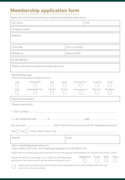## **Membership application form**

Please fill in form below with your details and membership option.

| Full name:                                                                                                                                                                             | Title                                    |  |  |  |  |  |  |  |  |  |
|----------------------------------------------------------------------------------------------------------------------------------------------------------------------------------------|------------------------------------------|--|--|--|--|--|--|--|--|--|
| Company name:                                                                                                                                                                          |                                          |  |  |  |  |  |  |  |  |  |
| Address:                                                                                                                                                                               |                                          |  |  |  |  |  |  |  |  |  |
|                                                                                                                                                                                        |                                          |  |  |  |  |  |  |  |  |  |
| Postcode:<br>Tel no. (home):                                                                                                                                                           |                                          |  |  |  |  |  |  |  |  |  |
| Mobile no:                                                                                                                                                                             | Date of birth:                           |  |  |  |  |  |  |  |  |  |
| Email address:                                                                                                                                                                         |                                          |  |  |  |  |  |  |  |  |  |
| Please state how or where you heard about us:                                                                                                                                          |                                          |  |  |  |  |  |  |  |  |  |
| Membership type:<br>Please tick appropriate membership option                                                                                                                          |                                          |  |  |  |  |  |  |  |  |  |
| Intermediate<br>Junior<br>7 Dav<br>Colt                                                                                                                                                | Hole sponsor 1<br>Corporate<br>Social    |  |  |  |  |  |  |  |  |  |
| Intermediate Plus<br>Colt Plus<br>80 Plus<br>5 Day                                                                                                                                     | Woodland<br>Hole sponsor 2<br>Flexi Plus |  |  |  |  |  |  |  |  |  |
|                                                                                                                                                                                        |                                          |  |  |  |  |  |  |  |  |  |
| Payment enclosed £                                                                                                                                                                     |                                          |  |  |  |  |  |  |  |  |  |
| Please state either                                                                                                                                                                    |                                          |  |  |  |  |  |  |  |  |  |
|                                                                                                                                                                                        |                                          |  |  |  |  |  |  |  |  |  |
|                                                                                                                                                                                        |                                          |  |  |  |  |  |  |  |  |  |
|                                                                                                                                                                                        |                                          |  |  |  |  |  |  |  |  |  |
| Yes I                                                                                                                                                                                  |                                          |  |  |  |  |  |  |  |  |  |
|                                                                                                                                                                                        |                                          |  |  |  |  |  |  |  |  |  |
| Signed:                                                                                                                                                                                | Date:                                    |  |  |  |  |  |  |  |  |  |
| After completing please return to:<br>Crane Valley Golf Club, The Clubhouse, Verwood, Dorset BH31 7LH                                                                                  |                                          |  |  |  |  |  |  |  |  |  |
| Please read our privacy policy which describes how we will use your personal data. Visit hoburne.com/privacy-policy.                                                                   |                                          |  |  |  |  |  |  |  |  |  |
| Telephone<br><b>SMS</b><br>Email<br>Post<br>Please tick here if you would like us to contact you with information<br>about goods and services which we feel may be of interest to you. |                                          |  |  |  |  |  |  |  |  |  |
| I agree that my membership will be subject to the membership terms and conditions and club rules<br>as shown on the club website.                                                      |                                          |  |  |  |  |  |  |  |  |  |